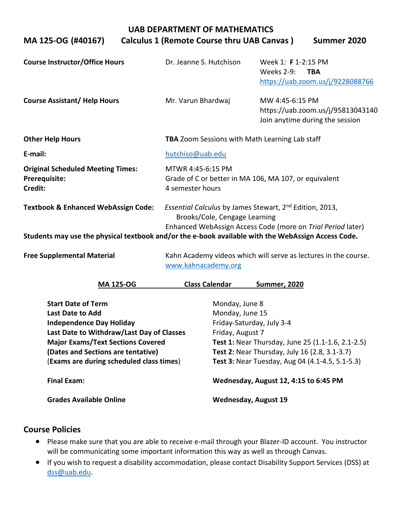|                                                                                                    | UAD DEFANTIVIENT OF IVIATITEIVIATIUS                                                                                                                                |                                                                                            |  |  |  |  |
|----------------------------------------------------------------------------------------------------|---------------------------------------------------------------------------------------------------------------------------------------------------------------------|--------------------------------------------------------------------------------------------|--|--|--|--|
| MA 125-OG (#40167)                                                                                 | Calculus 1 (Remote Course thru UAB Canvas)                                                                                                                          | Summer 2020                                                                                |  |  |  |  |
| <b>Course Instructor/Office Hours</b>                                                              | Dr. Jeanne S. Hutchison                                                                                                                                             | Week 1: F 1-2:15 PM<br><b>Weeks 2-9:</b><br><b>TBA</b><br>https://uab.zoom.us/j/9228088766 |  |  |  |  |
| <b>Course Assistant/ Help Hours</b>                                                                | Mr. Varun Bhardwaj                                                                                                                                                  | MW 4:45-6:15 PM<br>https://uab.zoom.us/j/95813043140<br>Join anytime during the session    |  |  |  |  |
| <b>Other Help Hours</b>                                                                            | TBA Zoom Sessions with Math Learning Lab staff                                                                                                                      |                                                                                            |  |  |  |  |
| E-mail:                                                                                            | hutchiso@uab.edu                                                                                                                                                    |                                                                                            |  |  |  |  |
| <b>Original Scheduled Meeting Times:</b><br>Prerequisite:<br>Credit:                               | MTWR 4:45-6:15 PM<br>Grade of C or better in MA 106, MA 107, or equivalent<br>4 semester hours                                                                      |                                                                                            |  |  |  |  |
| <b>Textbook &amp; Enhanced WebAssign Code:</b>                                                     | Essential Calculus by James Stewart, 2 <sup>nd</sup> Edition, 2013,<br>Brooks/Cole, Cengage Learning<br>Enhanced WebAssign Access Code (more on Trial Period later) |                                                                                            |  |  |  |  |
| Students may use the physical textbook and/or the e-book available with the WebAssign Access Code. |                                                                                                                                                                     |                                                                                            |  |  |  |  |
| <b>Free Supplemental Material</b>                                                                  | Kahn Academy videos which will serve as lectures in the course.<br>www.kahnacademy.org                                                                              |                                                                                            |  |  |  |  |

**UAB DEPARTMENT OF MATHEMATICS**

| <b>MA 125-OG</b>                          | <b>Class Calendar</b> | <b>Summer, 2020</b>                                      |  |  |
|-------------------------------------------|-----------------------|----------------------------------------------------------|--|--|
| <b>Start Date of Term</b>                 |                       | Monday, June 8                                           |  |  |
| Last Date to Add                          |                       | Monday, June 15                                          |  |  |
| <b>Independence Day Holiday</b>           |                       | Friday-Saturday, July 3-4                                |  |  |
| Last Date to Withdraw/Last Day of Classes |                       | Friday, August 7                                         |  |  |
| <b>Major Exams/Text Sections Covered</b>  |                       | <b>Test 1: Near Thursday, June 25 (1.1-1.6, 2.1-2.5)</b> |  |  |
| (Dates and Sections are tentative)        |                       | <b>Test 2: Near Thursday, July 16 (2.8, 3.1-3.7)</b>     |  |  |
| (Exams are during scheduled class times)  |                       | <b>Test 3: Near Tuesday, Aug 04 (4.1-4.5, 5.1-5.3)</b>   |  |  |
| Final Exam:                               |                       | Wednesday, August 12, 4:15 to 6:45 PM                    |  |  |
| <b>Grades Available Online</b>            |                       | <b>Wednesday, August 19</b>                              |  |  |

### **Course Policies**

- Please make sure that you are able to receive e-mail through your Blazer-ID account. You instructor will be communicating some important information this way as well as through Canvas.
- If you wish to request a disability accommodation, please contact Disability Support Services (DSS) at [dss@uab.edu.](mailto:dss@uab.edu)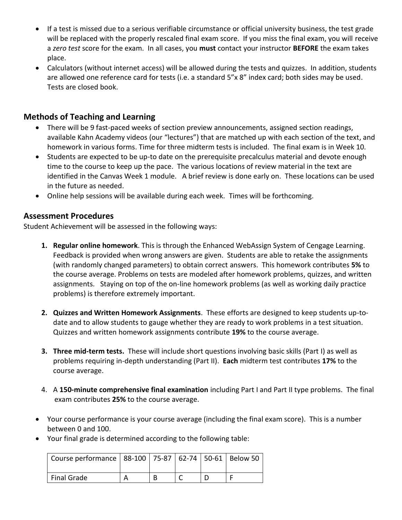- If a test is missed due to a serious verifiable circumstance or official university business, the test grade will be replaced with the properly rescaled final exam score. If you miss the final exam, you will receive a *zero test* score for the exam. In all cases, you **must** contact your instructor **BEFORE** the exam takes place.
- Calculators (without internet access) will be allowed during the tests and quizzes. In addition, students are allowed one reference card for tests (i.e. a standard 5"x 8" index card; both sides may be used. Tests are closed book.

## **Methods of Teaching and Learning**

- There will be 9 fast-paced weeks of section preview announcements, assigned section readings, available Kahn Academy videos (our "lectures") that are matched up with each section of the text, and homework in various forms. Time for three midterm tests is included. The final exam is in Week 10.
- Students are expected to be up-to date on the prerequisite precalculus material and devote enough time to the course to keep up the pace. The various locations of review material in the text are identified in the Canvas Week 1 module. A brief review is done early on. These locations can be used in the future as needed.
- Online help sessions will be available during each week. Times will be forthcoming.

#### **Assessment Procedures**

Student Achievement will be assessed in the following ways:

- **1. Regular online homework**. This is through the Enhanced WebAssign System of Cengage Learning. Feedback is provided when wrong answers are given. Students are able to retake the assignments (with randomly changed parameters) to obtain correct answers. This homework contributes **5%** to the course average. Problems on tests are modeled after homework problems, quizzes, and written assignments. Staying on top of the on-line homework problems (as well as working daily practice problems) is therefore extremely important.
- **2. Quizzes and Written Homework Assignments**. These efforts are designed to keep students up-todate and to allow students to gauge whether they are ready to work problems in a test situation. Quizzes and written homework assignments contribute **19%** to the course average.
- **3. Three mid-term tests.** These will include short questions involving basic skills (Part I) as well as problems requiring in-depth understanding (Part II). **Each** midterm test contributes **17%** to the course average.
- 4. A **150-minute comprehensive final examination** including Part I and Part II type problems. The final exam contributes **25%** to the course average.
- Your course performance is your course average (including the final exam score). This is a number between 0 and 100.
- Your final grade is determined according to the following table:

| Course performance   88-100   75-87   62-74   50-61   Below 50 |  |  |  |
|----------------------------------------------------------------|--|--|--|
| <b>Final Grade</b>                                             |  |  |  |